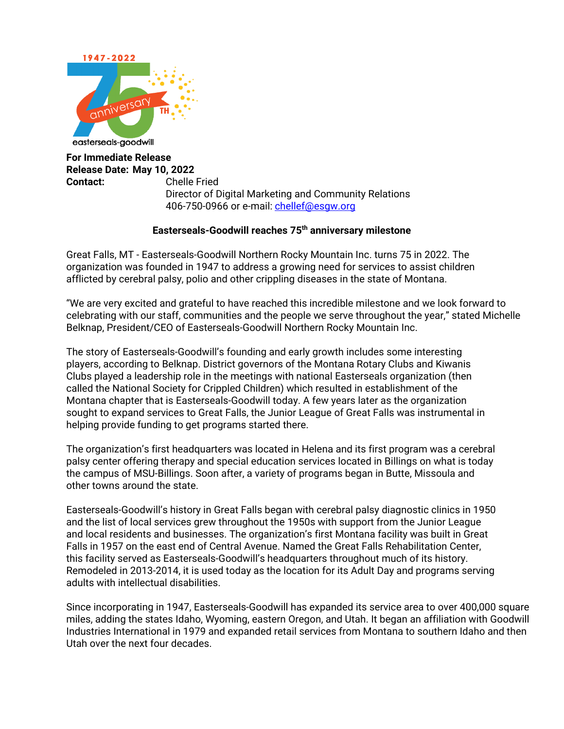

**For Immediate Release Release Date: May 10, 2022 Contact:** Chelle Fried Director of Digital Marketing and Community Relations 406-750-0966 or e-mail: chellef@esgw.org

## **Easterseals-Goodwill reaches 75th anniversary milestone**

Great Falls, MT - Easterseals-Goodwill Northern Rocky Mountain Inc. turns 75 in 2022. The organization was founded in 1947 to address a growing need for services to assist children afflicted by cerebral palsy, polio and other crippling diseases in the state of Montana.

"We are very excited and grateful to have reached this incredible milestone and we look forward to celebrating with our staff, communities and the people we serve throughout the year," stated Michelle Belknap, President/CEO of Easterseals-Goodwill Northern Rocky Mountain Inc.

The story of Easterseals-Goodwill's founding and early growth includes some interesting players, according to Belknap. District governors of the Montana Rotary Clubs and Kiwanis Clubs played a leadership role in the meetings with national Easterseals organization (then called the National Society for Crippled Children) which resulted in establishment of the Montana chapter that is Easterseals-Goodwill today. A few years later as the organization sought to expand services to Great Falls, the Junior League of Great Falls was instrumental in helping provide funding to get programs started there.

The organization's first headquarters was located in Helena and its first program was a cerebral palsy center offering therapy and special education services located in Billings on what is today the campus of MSU-Billings. Soon after, a variety of programs began in Butte, Missoula and other towns around the state.

Easterseals-Goodwill's history in Great Falls began with cerebral palsy diagnostic clinics in 1950 and the list of local services grew throughout the 1950s with support from the Junior League and local residents and businesses. The organization's first Montana facility was built in Great Falls in 1957 on the east end of Central Avenue. Named the Great Falls Rehabilitation Center, this facility served as Easterseals-Goodwill's headquarters throughout much of its history. Remodeled in 2013-2014, it is used today as the location for its Adult Day and programs serving adults with intellectual disabilities.

Since incorporating in 1947, Easterseals-Goodwill has expanded its service area to over 400,000 square miles, adding the states Idaho, Wyoming, eastern Oregon, and Utah. It began an affiliation with Goodwill Industries International in 1979 and expanded retail services from Montana to southern Idaho and then Utah over the next four decades.